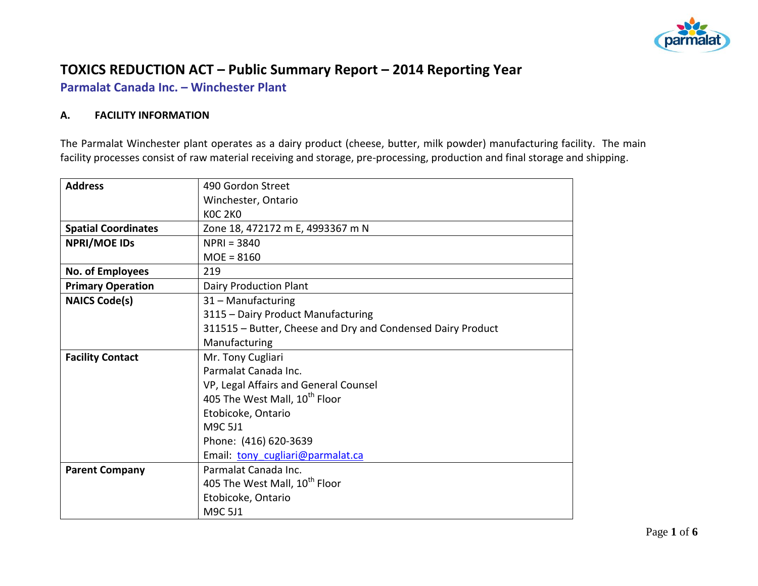

# **TOXICS REDUCTION ACT – Public Summary Report – 2014 Reporting Year**

**Parmalat Canada Inc. – Winchester Plant**

### **A. FACILITY INFORMATION**

The Parmalat Winchester plant operates as a dairy product (cheese, butter, milk powder) manufacturing facility. The main facility processes consist of raw material receiving and storage, pre-processing, production and final storage and shipping.

| <b>Address</b>             | 490 Gordon Street                                           |  |  |  |  |
|----------------------------|-------------------------------------------------------------|--|--|--|--|
|                            | Winchester, Ontario                                         |  |  |  |  |
|                            | <b>KOC 2KO</b>                                              |  |  |  |  |
| <b>Spatial Coordinates</b> | Zone 18, 472172 m E, 4993367 m N                            |  |  |  |  |
| <b>NPRI/MOE IDS</b>        | $NPRI = 3840$                                               |  |  |  |  |
|                            | $MOE = 8160$                                                |  |  |  |  |
| No. of Employees           | 219                                                         |  |  |  |  |
| <b>Primary Operation</b>   | <b>Dairy Production Plant</b>                               |  |  |  |  |
| <b>NAICS Code(s)</b>       | 31 - Manufacturing                                          |  |  |  |  |
|                            | 3115 - Dairy Product Manufacturing                          |  |  |  |  |
|                            | 311515 - Butter, Cheese and Dry and Condensed Dairy Product |  |  |  |  |
|                            | Manufacturing                                               |  |  |  |  |
| <b>Facility Contact</b>    | Mr. Tony Cugliari                                           |  |  |  |  |
|                            | Parmalat Canada Inc.                                        |  |  |  |  |
|                            | VP, Legal Affairs and General Counsel                       |  |  |  |  |
|                            | 405 The West Mall, 10 <sup>th</sup> Floor                   |  |  |  |  |
|                            | Etobicoke, Ontario                                          |  |  |  |  |
|                            | M9C 5J1                                                     |  |  |  |  |
|                            | Phone: (416) 620-3639                                       |  |  |  |  |
|                            | Email: tony cugliari@parmalat.ca                            |  |  |  |  |
| <b>Parent Company</b>      | Parmalat Canada Inc.                                        |  |  |  |  |
|                            | 405 The West Mall, 10 <sup>th</sup> Floor                   |  |  |  |  |
|                            | Etobicoke, Ontario                                          |  |  |  |  |
|                            | M9C 5J1                                                     |  |  |  |  |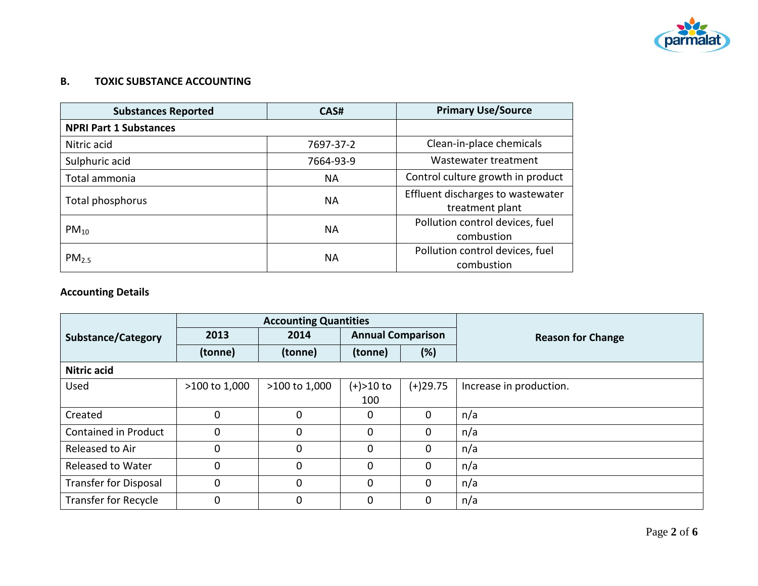

# **B. TOXIC SUBSTANCE ACCOUNTING**

| <b>Substances Reported</b>    | CAS#      | <b>Primary Use/Source</b>                            |
|-------------------------------|-----------|------------------------------------------------------|
| <b>NPRI Part 1 Substances</b> |           |                                                      |
| Nitric acid                   | 7697-37-2 | Clean-in-place chemicals                             |
| Sulphuric acid                | 7664-93-9 | Wastewater treatment                                 |
| Total ammonia                 | <b>NA</b> | Control culture growth in product                    |
| Total phosphorus              | <b>NA</b> | Effluent discharges to wastewater<br>treatment plant |
| $PM_{10}$                     | <b>NA</b> | Pollution control devices, fuel<br>combustion        |
| PM <sub>2.5</sub>             | <b>NA</b> | Pollution control devices, fuel<br>combustion        |

# **Accounting Details**

|                                           | <b>Accounting Quantities</b> |                          |               |                          |                         |
|-------------------------------------------|------------------------------|--------------------------|---------------|--------------------------|-------------------------|
| 2013<br>2014<br><b>Substance/Category</b> |                              | <b>Annual Comparison</b> |               | <b>Reason for Change</b> |                         |
|                                           | (tonne)                      | (tonne)                  | (tonne)       | $(\%)$                   |                         |
| <b>Nitric acid</b>                        |                              |                          |               |                          |                         |
| Used                                      | >100 to 1,000                | >100 to 1,000            | $(+) > 10$ to | $(+)29.75$               | Increase in production. |
|                                           |                              |                          | 100           |                          |                         |
| Created                                   | 0                            | $\Omega$                 | $\mathbf{0}$  | $\mathbf 0$              | n/a                     |
| Contained in Product                      | 0                            | $\Omega$                 | $\mathbf 0$   | $\mathbf 0$              | n/a                     |
| Released to Air                           | $\mathbf 0$                  | $\mathbf 0$              | $\mathbf 0$   | $\mathbf{0}$             | n/a                     |
| <b>Released to Water</b>                  | $\mathbf 0$                  | $\Omega$                 | $\mathbf 0$   | $\mathbf 0$              | n/a                     |
| <b>Transfer for Disposal</b>              | $\mathbf 0$                  | $\Omega$                 | $\mathbf 0$   | $\mathbf 0$              | n/a                     |
| Transfer for Recycle                      | 0                            | $\mathbf 0$              | $\mathbf 0$   | $\mathbf{0}$             | n/a                     |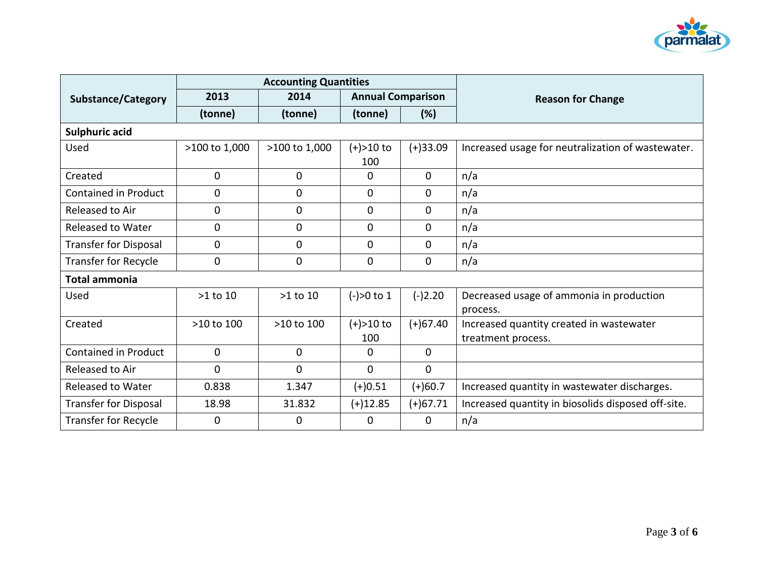

|                              |               | <b>Accounting Quantities</b> |                          |              |                                                    |
|------------------------------|---------------|------------------------------|--------------------------|--------------|----------------------------------------------------|
| <b>Substance/Category</b>    | 2013          | 2014                         | <b>Annual Comparison</b> |              | <b>Reason for Change</b>                           |
|                              | (tonne)       | (tonne)                      | (tonne)                  | (%)          |                                                    |
| <b>Sulphuric acid</b>        |               |                              |                          |              |                                                    |
| Used                         | >100 to 1,000 | >100 to 1,000                | (+)>10 to                | $(+)33.09$   | Increased usage for neutralization of wastewater.  |
|                              |               |                              | 100                      |              |                                                    |
| Created                      | $\mathbf 0$   | $\mathbf 0$                  | 0                        | $\Omega$     | n/a                                                |
| Contained in Product         | 0             | 0                            | 0                        | 0            | n/a                                                |
| Released to Air              | 0             | 0                            | 0                        | 0            | n/a                                                |
| <b>Released to Water</b>     | 0             | 0                            | 0                        | 0            | n/a                                                |
| <b>Transfer for Disposal</b> | 0             | 0                            | 0                        | 0            | n/a                                                |
| <b>Transfer for Recycle</b>  | 0             | 0                            | $\mathbf{0}$             | $\mathbf{0}$ | n/a                                                |
| <b>Total ammonia</b>         |               |                              |                          |              |                                                    |
| Used                         | $>1$ to $10$  | $>1$ to $10$                 | $(-) > 0$ to 1           | $(-)2.20$    | Decreased usage of ammonia in production           |
|                              |               |                              |                          |              | process.                                           |
| Created                      | >10 to 100    | >10 to 100                   | $(+) > 10$ to            | $(+)67.40$   | Increased quantity created in wastewater           |
|                              |               |                              | 100                      |              | treatment process.                                 |
| <b>Contained in Product</b>  | 0             | $\mathbf 0$                  | $\mathbf{0}$             | 0            |                                                    |
| Released to Air              | 0             | $\mathbf 0$                  | $\mathbf 0$              | $\mathbf 0$  |                                                    |
| <b>Released to Water</b>     | 0.838         | 1.347                        | $(+)0.51$                | $(+)60.7$    | Increased quantity in wastewater discharges.       |
| <b>Transfer for Disposal</b> | 18.98         | 31.832                       | $(+)12.85$               | $(+)67.71$   | Increased quantity in biosolids disposed off-site. |
| <b>Transfer for Recycle</b>  | 0             | 0                            | 0                        | $\Omega$     | n/a                                                |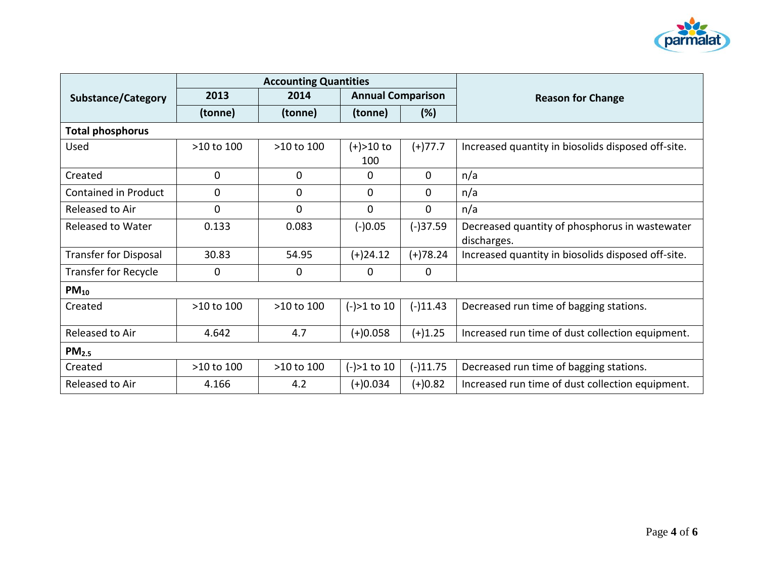

|                              | <b>Accounting Quantities</b> |             |                          |            |                                                               |  |  |
|------------------------------|------------------------------|-------------|--------------------------|------------|---------------------------------------------------------------|--|--|
| <b>Substance/Category</b>    | 2013                         | 2014        | <b>Annual Comparison</b> |            | <b>Reason for Change</b>                                      |  |  |
|                              | (tonne)                      | (tonne)     | (tonne)                  | $(\%)$     |                                                               |  |  |
| <b>Total phosphorus</b>      |                              |             |                          |            |                                                               |  |  |
| Used                         | $>10$ to $100$               | >10 to 100  | $(+) > 10$ to<br>100     | $(+)77.7$  | Increased quantity in biosolids disposed off-site.            |  |  |
| Created                      | 0                            | 0           | 0                        | 0          | n/a                                                           |  |  |
| Contained in Product         | 0                            | $\mathbf 0$ | $\Omega$                 | $\Omega$   | n/a                                                           |  |  |
| Released to Air              | 0                            | 0           | $\Omega$                 | $\Omega$   | n/a                                                           |  |  |
| <b>Released to Water</b>     | 0.133                        | 0.083       | $(-)0.05$                | $(-)37.59$ | Decreased quantity of phosphorus in wastewater<br>discharges. |  |  |
| <b>Transfer for Disposal</b> | 30.83                        | 54.95       | $(+)24.12$               | $(+)78.24$ | Increased quantity in biosolids disposed off-site.            |  |  |
| <b>Transfer for Recycle</b>  | 0                            | 0           | 0                        | 0          |                                                               |  |  |
| $PM_{10}$                    |                              |             |                          |            |                                                               |  |  |
| Created                      | >10 to 100                   | >10 to 100  | $(-) > 1$ to 10          | $(-)11.43$ | Decreased run time of bagging stations.                       |  |  |
| Released to Air              | 4.642                        | 4.7         | $(+)0.058$               | $(+)1.25$  | Increased run time of dust collection equipment.              |  |  |
| PM <sub>2.5</sub>            |                              |             |                          |            |                                                               |  |  |
| Created                      | >10 to 100                   | >10 to 100  | $(-) > 1$ to 10          | $(-)11.75$ | Decreased run time of bagging stations.                       |  |  |
| Released to Air              | 4.166                        | 4.2         | $(+)0.034$               | $(+)0.82$  | Increased run time of dust collection equipment.              |  |  |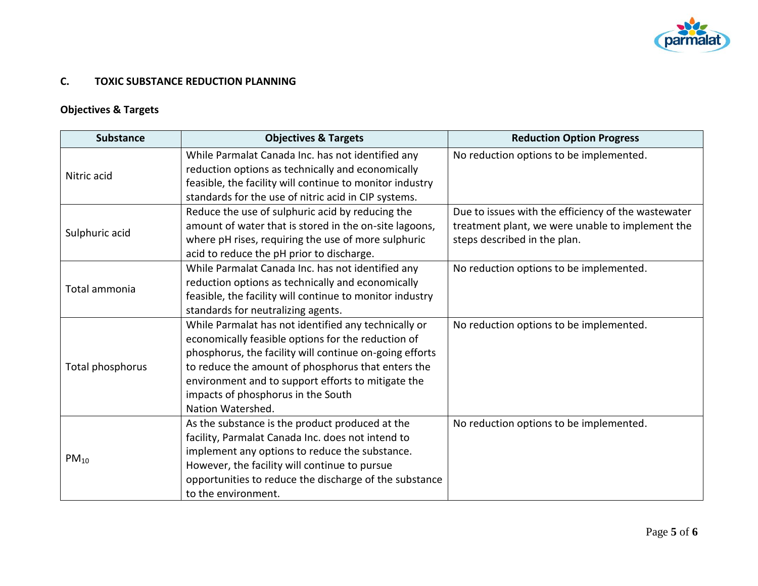

## **C. TOXIC SUBSTANCE REDUCTION PLANNING**

# **Objectives & Targets**

| <b>Substance</b> | <b>Objectives &amp; Targets</b>                          | <b>Reduction Option Progress</b>                    |  |
|------------------|----------------------------------------------------------|-----------------------------------------------------|--|
|                  | While Parmalat Canada Inc. has not identified any        | No reduction options to be implemented.             |  |
| Nitric acid      | reduction options as technically and economically        |                                                     |  |
|                  | feasible, the facility will continue to monitor industry |                                                     |  |
|                  | standards for the use of nitric acid in CIP systems.     |                                                     |  |
|                  | Reduce the use of sulphuric acid by reducing the         | Due to issues with the efficiency of the wastewater |  |
| Sulphuric acid   | amount of water that is stored in the on-site lagoons,   | treatment plant, we were unable to implement the    |  |
|                  | where pH rises, requiring the use of more sulphuric      | steps described in the plan.                        |  |
|                  | acid to reduce the pH prior to discharge.                |                                                     |  |
|                  | While Parmalat Canada Inc. has not identified any        | No reduction options to be implemented.             |  |
| Total ammonia    | reduction options as technically and economically        |                                                     |  |
|                  | feasible, the facility will continue to monitor industry |                                                     |  |
|                  | standards for neutralizing agents.                       |                                                     |  |
|                  | While Parmalat has not identified any technically or     | No reduction options to be implemented.             |  |
|                  | economically feasible options for the reduction of       |                                                     |  |
|                  | phosphorus, the facility will continue on-going efforts  |                                                     |  |
| Total phosphorus | to reduce the amount of phosphorus that enters the       |                                                     |  |
|                  | environment and to support efforts to mitigate the       |                                                     |  |
|                  | impacts of phosphorus in the South                       |                                                     |  |
|                  | Nation Watershed.                                        |                                                     |  |
|                  | As the substance is the product produced at the          | No reduction options to be implemented.             |  |
|                  | facility, Parmalat Canada Inc. does not intend to        |                                                     |  |
|                  | implement any options to reduce the substance.           |                                                     |  |
| $PM_{10}$        | However, the facility will continue to pursue            |                                                     |  |
|                  | opportunities to reduce the discharge of the substance   |                                                     |  |
|                  | to the environment.                                      |                                                     |  |